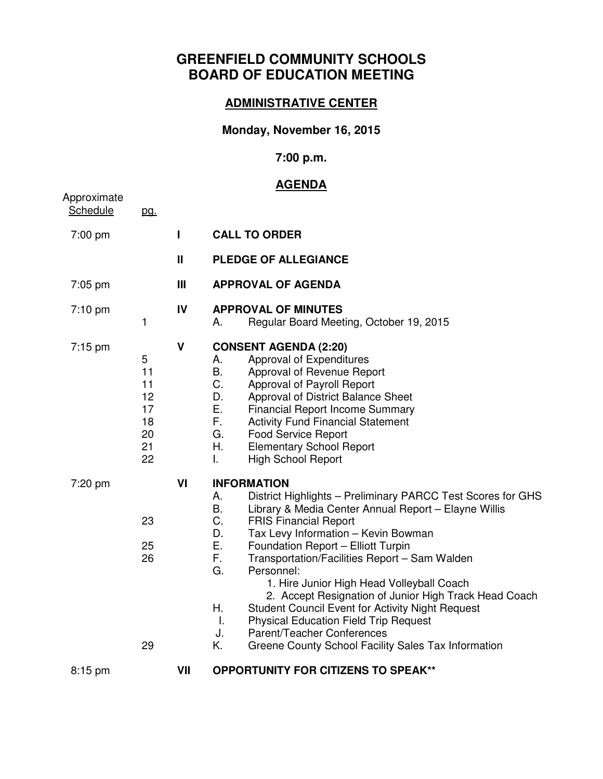# **GREENFIELD COMMUNITY SCHOOLS BOARD OF EDUCATION MEETING**

#### **ADMINISTRATIVE CENTER**

### **Monday, November 16, 2015**

### **7:00 p.m.**

## **AGENDA**

| Approximate       |                                                   |              | <u>AGENDA</u>                                                                                                                                                                                                                                                                                                                                                                                                                                                                                                                                                                                                                                                                                 |
|-------------------|---------------------------------------------------|--------------|-----------------------------------------------------------------------------------------------------------------------------------------------------------------------------------------------------------------------------------------------------------------------------------------------------------------------------------------------------------------------------------------------------------------------------------------------------------------------------------------------------------------------------------------------------------------------------------------------------------------------------------------------------------------------------------------------|
| Schedule          | <u>pg.</u>                                        |              |                                                                                                                                                                                                                                                                                                                                                                                                                                                                                                                                                                                                                                                                                               |
| 7:00 pm           |                                                   | L            | <b>CALL TO ORDER</b>                                                                                                                                                                                                                                                                                                                                                                                                                                                                                                                                                                                                                                                                          |
|                   |                                                   | $\mathbf{I}$ | <b>PLEDGE OF ALLEGIANCE</b>                                                                                                                                                                                                                                                                                                                                                                                                                                                                                                                                                                                                                                                                   |
| 7:05 pm           |                                                   | Ш            | <b>APPROVAL OF AGENDA</b>                                                                                                                                                                                                                                                                                                                                                                                                                                                                                                                                                                                                                                                                     |
| 7:10 pm           | 1                                                 | IV           | <b>APPROVAL OF MINUTES</b><br>Regular Board Meeting, October 19, 2015<br>А.                                                                                                                                                                                                                                                                                                                                                                                                                                                                                                                                                                                                                   |
| $7:15 \text{ pm}$ | 5<br>11<br>11<br>12<br>17<br>18<br>20<br>21<br>22 | $\mathsf{V}$ | <b>CONSENT AGENDA (2:20)</b><br>Approval of Expenditures<br>А.<br><b>B.</b><br>Approval of Revenue Report<br>C.<br>Approval of Payroll Report<br>D.<br>Approval of District Balance Sheet<br>Ε.<br><b>Financial Report Income Summary</b><br>F.<br><b>Activity Fund Financial Statement</b><br>G.<br><b>Food Service Report</b><br>Η.<br><b>Elementary School Report</b><br>L.<br><b>High School Report</b>                                                                                                                                                                                                                                                                                   |
| 7:20 pm           | 23<br>25<br>26<br>29                              | VI           | <b>INFORMATION</b><br>District Highlights - Preliminary PARCC Test Scores for GHS<br>А.<br>B.<br>Library & Media Center Annual Report - Elayne Willis<br>C.<br><b>FRIS Financial Report</b><br>D.<br>Tax Levy Information - Kevin Bowman<br>Е.<br>Foundation Report - Elliott Turpin<br>F.<br>Transportation/Facilities Report - Sam Walden<br>Personnel:<br>G.<br>1. Hire Junior High Head Volleyball Coach<br>2. Accept Resignation of Junior High Track Head Coach<br>Η.<br><b>Student Council Event for Activity Night Request</b><br><b>Physical Education Field Trip Request</b><br>Τ.<br>Parent/Teacher Conferences<br>J.<br>K.<br>Greene County School Facility Sales Tax Information |
| $8:15$ pm         |                                                   | VII          | <b>OPPORTUNITY FOR CITIZENS TO SPEAK**</b>                                                                                                                                                                                                                                                                                                                                                                                                                                                                                                                                                                                                                                                    |